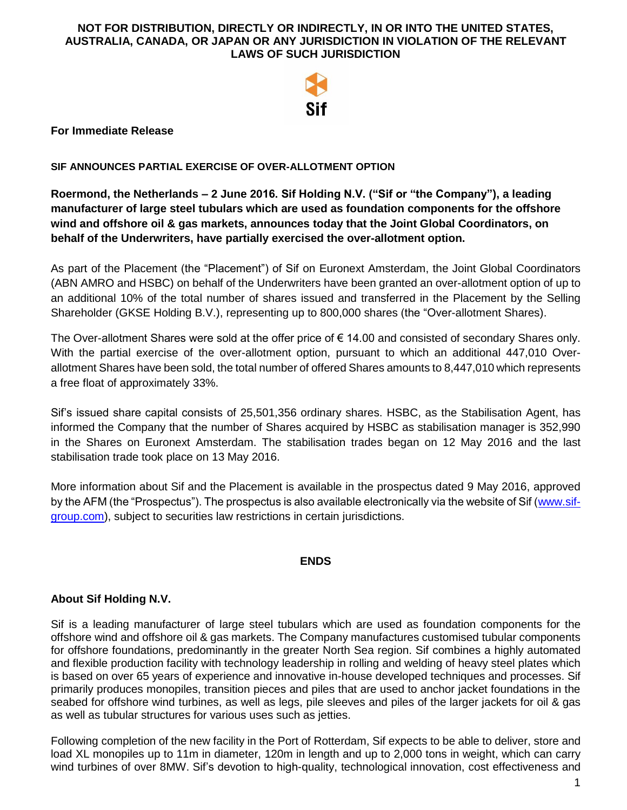

#### **For Immediate Release**

#### **SIF ANNOUNCES PARTIAL EXERCISE OF OVER-ALLOTMENT OPTION**

**Roermond, the Netherlands – 2 June 2016. Sif Holding N.V. ("Sif or "the Company"), a leading manufacturer of large steel tubulars which are used as foundation components for the offshore wind and offshore oil & gas markets, announces today that the Joint Global Coordinators, on behalf of the Underwriters, have partially exercised the over-allotment option.**

As part of the Placement (the "Placement") of Sif on Euronext Amsterdam, the Joint Global Coordinators (ABN AMRO and HSBC) on behalf of the Underwriters have been granted an over-allotment option of up to an additional 10% of the total number of shares issued and transferred in the Placement by the Selling Shareholder (GKSE Holding B.V.), representing up to 800,000 shares (the "Over-allotment Shares).

The Over-allotment Shares were sold at the offer price of  $\epsilon$  14.00 and consisted of secondary Shares only. With the partial exercise of the over-allotment option, pursuant to which an additional 447,010 Overallotment Shares have been sold, the total number of offered Shares amounts to 8,447,010 which represents a free float of approximately 33%.

Sif's issued share capital consists of 25,501,356 ordinary shares. HSBC, as the Stabilisation Agent, has informed the Company that the number of Shares acquired by HSBC as stabilisation manager is 352,990 in the Shares on Euronext Amsterdam. The stabilisation trades began on 12 May 2016 and the last stabilisation trade took place on 13 May 2016.

More information about Sif and the Placement is available in the prospectus dated 9 May 2016, approved by the AFM (the "Prospectus"). The prospectus is also available electronically via the website of Sif [\(www.sif](http://www.sif-group.com/)[group.com\)](http://www.sif-group.com/), subject to securities law restrictions in certain jurisdictions.

## **ENDS**

## **About Sif Holding N.V.**

Sif is a leading manufacturer of large steel tubulars which are used as foundation components for the offshore wind and offshore oil & gas markets. The Company manufactures customised tubular components for offshore foundations, predominantly in the greater North Sea region. Sif combines a highly automated and flexible production facility with technology leadership in rolling and welding of heavy steel plates which is based on over 65 years of experience and innovative in-house developed techniques and processes. Sif primarily produces monopiles, transition pieces and piles that are used to anchor jacket foundations in the seabed for offshore wind turbines, as well as legs, pile sleeves and piles of the larger jackets for oil & gas as well as tubular structures for various uses such as jetties.

Following completion of the new facility in the Port of Rotterdam, Sif expects to be able to deliver, store and load XL monopiles up to 11m in diameter, 120m in length and up to 2,000 tons in weight, which can carry wind turbines of over 8MW. Sif's devotion to high-quality, technological innovation, cost effectiveness and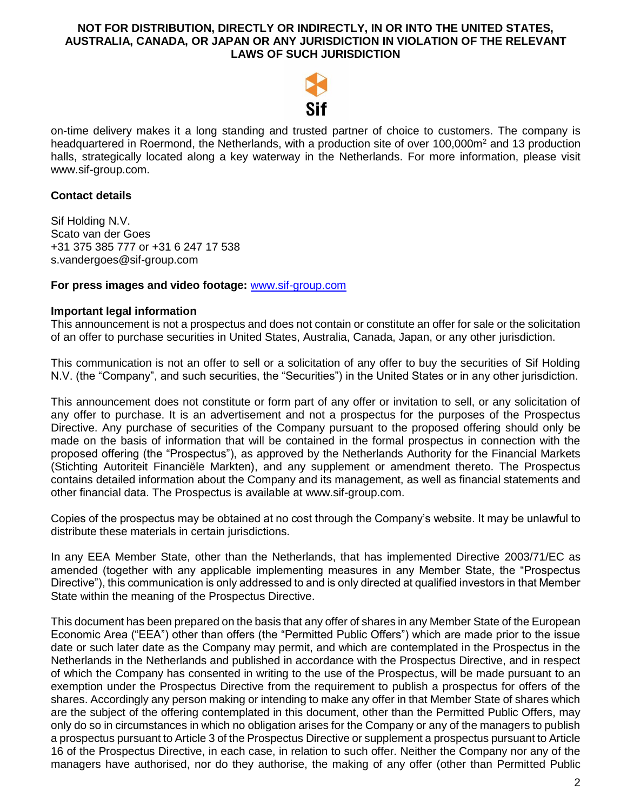

on-time delivery makes it a long standing and trusted partner of choice to customers. The company is headquartered in Roermond, the Netherlands, with a production site of over 100,000m<sup>2</sup> and 13 production halls, strategically located along a key waterway in the Netherlands. For more information, please visit www.sif-group.com.

## **Contact details**

Sif Holding N.V. Scato van der Goes +31 375 385 777 or +31 6 247 17 538 s.vandergoes@sif-group.com

#### **For press images and video footage:** [www.sif-group.com](http://www.sif-group.com/)

#### **Important legal information**

This announcement is not a prospectus and does not contain or constitute an offer for sale or the solicitation of an offer to purchase securities in United States, Australia, Canada, Japan, or any other jurisdiction.

This communication is not an offer to sell or a solicitation of any offer to buy the securities of Sif Holding N.V. (the "Company", and such securities, the "Securities") in the United States or in any other jurisdiction.

This announcement does not constitute or form part of any offer or invitation to sell, or any solicitation of any offer to purchase. It is an advertisement and not a prospectus for the purposes of the Prospectus Directive. Any purchase of securities of the Company pursuant to the proposed offering should only be made on the basis of information that will be contained in the formal prospectus in connection with the proposed offering (the "Prospectus"), as approved by the Netherlands Authority for the Financial Markets (Stichting Autoriteit Financiële Markten), and any supplement or amendment thereto. The Prospectus contains detailed information about the Company and its management, as well as financial statements and other financial data. The Prospectus is available at www.sif-group.com.

Copies of the prospectus may be obtained at no cost through the Company's website. It may be unlawful to distribute these materials in certain jurisdictions.

In any EEA Member State, other than the Netherlands, that has implemented Directive 2003/71/EC as amended (together with any applicable implementing measures in any Member State, the "Prospectus Directive"), this communication is only addressed to and is only directed at qualified investors in that Member State within the meaning of the Prospectus Directive.

This document has been prepared on the basis that any offer of shares in any Member State of the European Economic Area ("EEA") other than offers (the "Permitted Public Offers") which are made prior to the issue date or such later date as the Company may permit, and which are contemplated in the Prospectus in the Netherlands in the Netherlands and published in accordance with the Prospectus Directive, and in respect of which the Company has consented in writing to the use of the Prospectus, will be made pursuant to an exemption under the Prospectus Directive from the requirement to publish a prospectus for offers of the shares. Accordingly any person making or intending to make any offer in that Member State of shares which are the subject of the offering contemplated in this document, other than the Permitted Public Offers, may only do so in circumstances in which no obligation arises for the Company or any of the managers to publish a prospectus pursuant to Article 3 of the Prospectus Directive or supplement a prospectus pursuant to Article 16 of the Prospectus Directive, in each case, in relation to such offer. Neither the Company nor any of the managers have authorised, nor do they authorise, the making of any offer (other than Permitted Public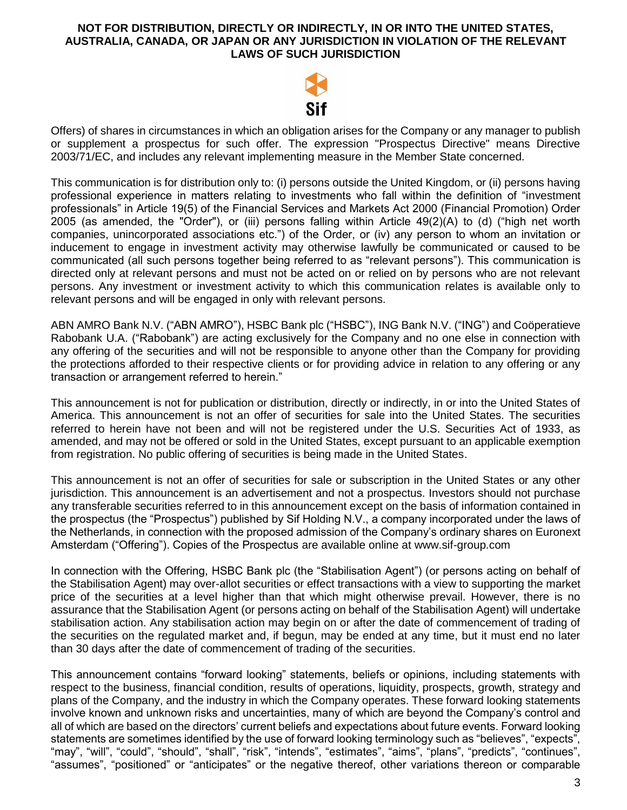

Offers) of shares in circumstances in which an obligation arises for the Company or any manager to publish or supplement a prospectus for such offer. The expression "Prospectus Directive" means Directive 2003/71/EC, and includes any relevant implementing measure in the Member State concerned.

This communication is for distribution only to: (i) persons outside the United Kingdom, or (ii) persons having professional experience in matters relating to investments who fall within the definition of "investment professionals" in Article 19(5) of the Financial Services and Markets Act 2000 (Financial Promotion) Order 2005 (as amended, the "Order"), or (iii) persons falling within Article 49(2)(A) to (d) ("high net worth companies, unincorporated associations etc.") of the Order, or (iv) any person to whom an invitation or inducement to engage in investment activity may otherwise lawfully be communicated or caused to be communicated (all such persons together being referred to as "relevant persons"). This communication is directed only at relevant persons and must not be acted on or relied on by persons who are not relevant persons. Any investment or investment activity to which this communication relates is available only to relevant persons and will be engaged in only with relevant persons.

ABN AMRO Bank N.V. ("ABN AMRO"), HSBC Bank plc ("HSBC"), ING Bank N.V. ("ING") and Coöperatieve Rabobank U.A. ("Rabobank") are acting exclusively for the Company and no one else in connection with any offering of the securities and will not be responsible to anyone other than the Company for providing the protections afforded to their respective clients or for providing advice in relation to any offering or any transaction or arrangement referred to herein."

This announcement is not for publication or distribution, directly or indirectly, in or into the United States of America. This announcement is not an offer of securities for sale into the United States. The securities referred to herein have not been and will not be registered under the U.S. Securities Act of 1933, as amended, and may not be offered or sold in the United States, except pursuant to an applicable exemption from registration. No public offering of securities is being made in the United States.

This announcement is not an offer of securities for sale or subscription in the United States or any other jurisdiction. This announcement is an advertisement and not a prospectus. Investors should not purchase any transferable securities referred to in this announcement except on the basis of information contained in the prospectus (the "Prospectus") published by Sif Holding N.V., a company incorporated under the laws of the Netherlands, in connection with the proposed admission of the Company's ordinary shares on Euronext Amsterdam ("Offering"). Copies of the Prospectus are available online at www.sif-group.com

In connection with the Offering, HSBC Bank plc (the "Stabilisation Agent") (or persons acting on behalf of the Stabilisation Agent) may over-allot securities or effect transactions with a view to supporting the market price of the securities at a level higher than that which might otherwise prevail. However, there is no assurance that the Stabilisation Agent (or persons acting on behalf of the Stabilisation Agent) will undertake stabilisation action. Any stabilisation action may begin on or after the date of commencement of trading of the securities on the regulated market and, if begun, may be ended at any time, but it must end no later than 30 days after the date of commencement of trading of the securities.

This announcement contains "forward looking" statements, beliefs or opinions, including statements with respect to the business, financial condition, results of operations, liquidity, prospects, growth, strategy and plans of the Company, and the industry in which the Company operates. These forward looking statements involve known and unknown risks and uncertainties, many of which are beyond the Company's control and all of which are based on the directors' current beliefs and expectations about future events. Forward looking statements are sometimes identified by the use of forward looking terminology such as "believes", "expects", "may", "will", "could", "should", "shall", "risk", "intends", "estimates", "aims", "plans", "predicts", "continues", "assumes", "positioned" or "anticipates" or the negative thereof, other variations thereon or comparable